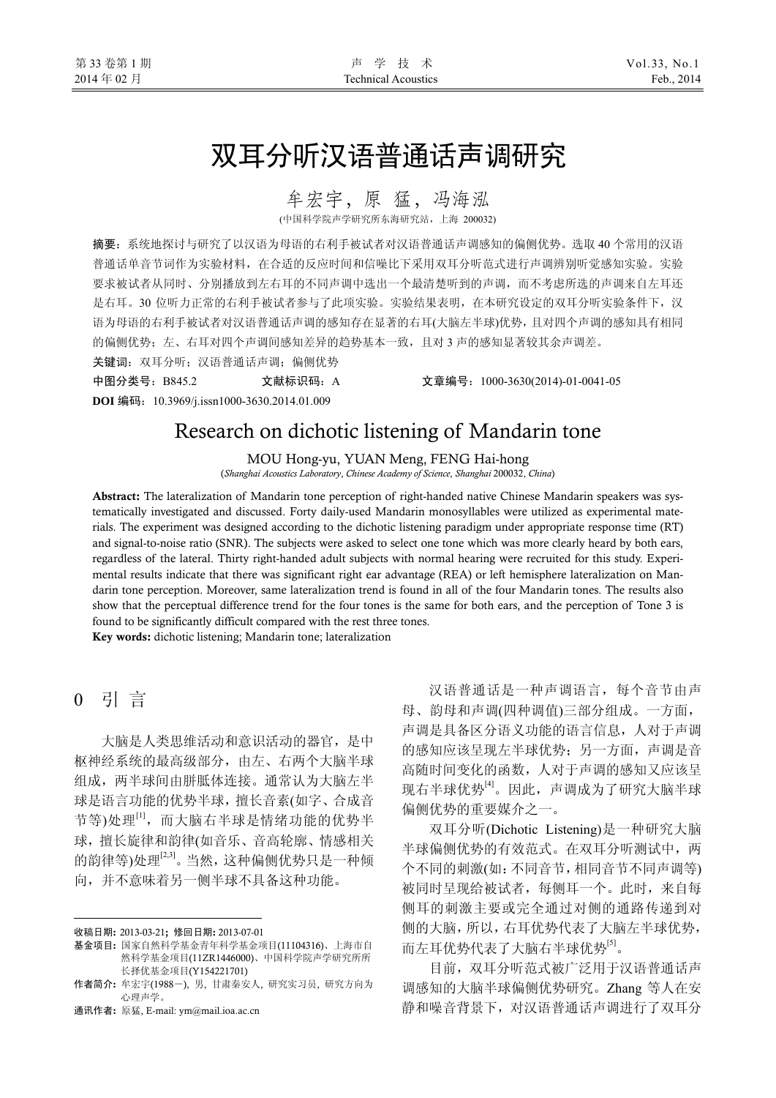# 双耳分听汉语普通话声调研究

牟宏宇,原 猛,冯海泓

(中国科学院声学研究所东海研究站,上海 200032)

摘要:系统地探讨与研究了以汉语为母语的右利手被试者对汉语普通话声调感知的偏侧优势。选取 40 个常用的汉语 普通话单音节词作为实验材料,在合适的反应时间和信噪比下采用双耳分听范式进行声调辨别听觉感知实验。实验 要求被试者从同时、分别播放到左右耳的不同声调中选出一个最清楚听到的声调,而不考虑所选的声调来自左耳还 是右耳。30位听力正常的右利手被试者参与了此项实验。实验结果表明,在本研究设定的双耳分听实验条件下,汉 语为母语的右利手被试者对汉语普通话声调的感知存在显著的右耳(大脑左半球)优势,且对四个声调的感知具有相同 的偏侧优势;左、右耳对四个声调间感知差异的趋势基本一致,且对 3 声的感知显著较其余声调差。

关键词:双耳分听;汉语普通话声调;偏侧优势

中图分类号:B845.2 文献标识码:A 文章编号:1000-3630(2014)-01-0041-05 **DOI** 编码:10.3969/j.issn1000-3630.2014.01.009

# Research on dichotic listening of Mandarin tone

MOU Hong-yu, YUAN Meng, FENG Hai-hong

(*Shanghai Acoustics Laboratory*, *Chinese Academy of Science*, *Shanghai* 200032, *China*)

Abstract: The lateralization of Mandarin tone perception of right-handed native Chinese Mandarin speakers was systematically investigated and discussed. Forty daily-used Mandarin monosyllables were utilized as experimental materials. The experiment was designed according to the dichotic listening paradigm under appropriate response time (RT) and signal-to-noise ratio (SNR). The subjects were asked to select one tone which was more clearly heard by both ears, regardless of the lateral. Thirty right-handed adult subjects with normal hearing were recruited for this study. Experimental results indicate that there was significant right ear advantage (REA) or left hemisphere lateralization on Mandarin tone perception. Moreover, same lateralization trend is found in all of the four Mandarin tones. The results also show that the perceptual difference trend for the four tones is the same for both ears, and the perception of Tone 3 is found to be significantly difficult compared with the rest three tones.

Key words: dichotic listening; Mandarin tone; lateralization

0 引 言

 $\overline{a}$ 

大脑是人类思维活动和意识活动的器官,是中 枢神经系统的最高级部分,由左、右两个大脑半球 组成,两半球间由胼胝体连接。通常认为大脑左半 球是语言功能的优势半球, 擅长音素(如字、合成音 节等)处理[1],而大脑右半球是情绪功能的优势半 球,擅长旋律和韵律(如音乐、音高轮廓、情感相关 的韵律等)处理[2,3]。当然,这种偏侧优势只是一种倾 向,并不意味着另一侧半球不具备这种功能。

收稿日期: 2013-03-21; 修回日期: 2013-07-01

通讯作者: 原猛, E-mail: ym@mail.ioa.ac.cn

汉语普通话是一种声调语言,每个音节由声 母、韵母和声调(四种调值)三部分组成。一方面, 声调是具备区分语义功能的语言信息,人对于声调 的感知应该呈现左半球优势;另一方面,声调是音 高随时间变化的函数,人对于声调的感知又应该呈 现右半球优势<sup>[4]</sup>。因此,声调成为了研究大脑半球 偏侧优势的重要媒介之一。

双耳分听(Dichotic Listening)是一种研究大脑 半球偏侧优势的有效范式。在双耳分听测试中,两 个不同的刺激(如:不同音节,相同音节不同声调等) 被同时呈现给被试者,每侧耳一个。此时,来自每 侧耳的刺激主要或完全通过对侧的通路传递到对 侧的大脑,所以,右耳优势代表了大脑左半球优势, 而左耳优势代表了大脑右半球优势<sup>[5]</sup>。

目前,双耳分听范式被广泛用于汉语普通话声 调感知的大脑半球偏侧优势研究。Zhang 等人在安 静和噪音背景下,对汉语普通话声调进行了双耳分

基金项目: 国家自然科学基金青年科学基金项目(11104316)、上海市自 然科学基金项目(11ZR1446000)、中国科学院声学研究所所 长择优基金项目(Y154221701)

作者简介: 牟宏宇(1988-), 男, 甘肃秦安人, 研究实习员, 研究方向为 心理声学。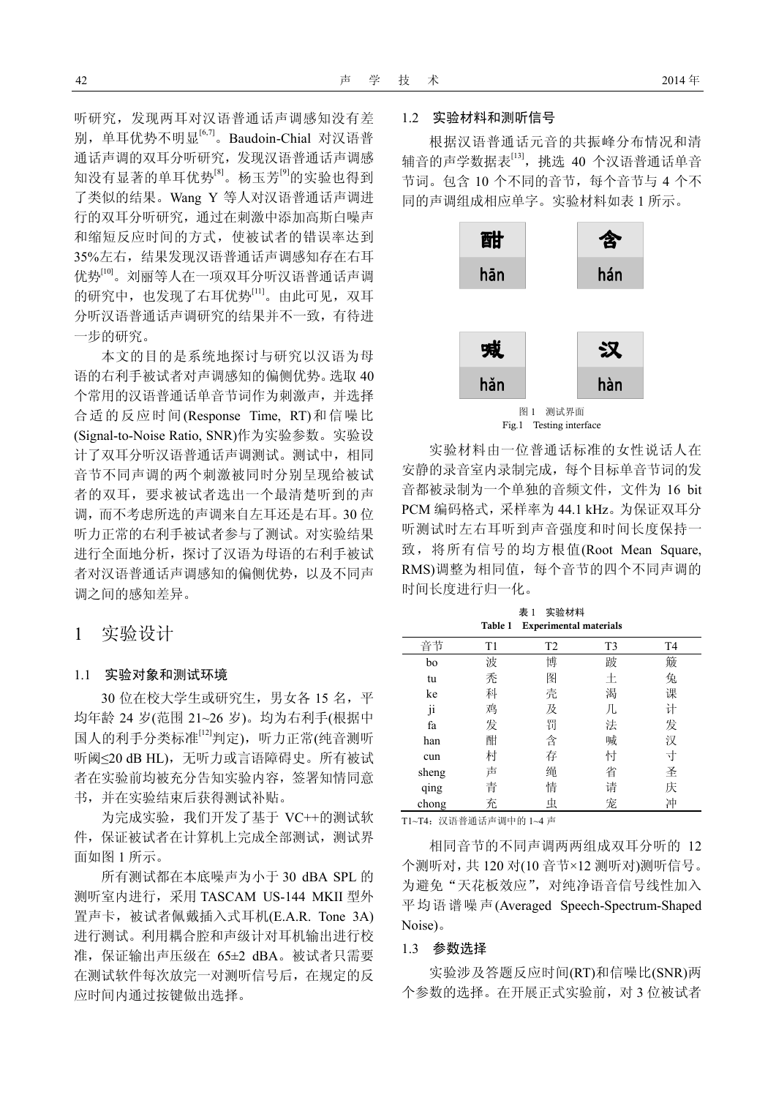听研究,发现两耳对汉语普通话声调感知没有差 别,单耳优势不明显<sup>[6,7]</sup>。Baudoin-Chial 对汉语普 通话声调的双耳分听研究,发现汉语普通话声调感 知没有显著的单耳优势<sup>[8]</sup>。杨玉芳<sup>[9]</sup>的实验也得到 了类似的结果。Wang Y 等人对汉语普通话声调进 行的双耳分听研究,通过在刺激中添加高斯白噪声 和缩短反应时间的方式,使被试者的错误率达到 35%左右,结果发现汉语普通话声调感知存在右耳 优势[10]。刘丽等人在一项双耳分听汉语普通话声调 的研究中,也发现了右耳优势[11]。由此可见,双耳 分听汉语普通话声调研究的结果并不一致,有待进 一步的研究。

本文的目的是系统地探讨与研究以汉语为母 语的右利手被试者对声调感知的偏侧优势。选取 40 个常用的汉语普通话单音节词作为刺激声,并选择 合适的反应时间(Response Time, RT)和信噪比 (Signal-to-Noise Ratio, SNR)作为实验参数。实验设 计了双耳分听汉语普通话声调测试。测试中,相同 音节不同声调的两个刺激被同时分别呈现给被试 者的双耳,要求被试者选出一个最清楚听到的声 调,而不考虑所选的声调来自左耳还是右耳。30 位 听力正常的右利手被试者参与了测试。对实验结果 进行全面地分析,探讨了汉语为母语的右利手被试 者对汉语普通话声调感知的偏侧优势,以及不同声 调之间的感知差异。

## 1 实验设计

#### 1.1 实验对象和测试环境

30 位在校大学生或研究生,男女各 15 名,平 均年龄 24 岁(范围 21~26 岁)。均为右利手(根据中 国人的利手分类标准[12]判定),听力正常(纯音测听 听阈≤20 dB HL), 无听力或言语障碍史。所有被试 者在实验前均被充分告知实验内容,签署知情同意 书,并在实验结束后获得测试补贴。

为完成实验, 我们开发了基于 VC++的测试软 件,保证被试者在计算机上完成全部测试,测试界 面如图 1 所示。

所有测试都在本底噪声为小于 30 dBA SPL 的 测听室内进行,采用 TASCAM US-144 MKII 型外 置声卡,被试者佩戴插入式耳机(E.A.R. Tone 3A) 进行测试。利用耦合腔和声级计对耳机输出进行校 准,保证输出声压级在 65±2 dBA。被试者只需要 在测试软件每次放完一对测听信号后,在规定的反 应时间内通过按键做出选择。

### 1.2 实验材料和测听信号

根据汉语普通话元音的共振峰分布情况和清 辅音的声学数据表[13],挑选 40 个汉语普通话单音 节词。包含 10 个不同的音节,每个音节与 4 个不 同的声调组成相应单字。实验材料如表 1 所示。



Fig.1 Testing interface

实验材料由一位普通话标准的女性说话人在 安静的录音室内录制完成,每个目标单音节词的发 音都被录制为一个单独的音频文件,文件为 16 bit PCM 编码格式,采样率为 44.1 kHz。为保证双耳分 听测试时左右耳听到声音强度和时间长度保持一 致,将所有信号的均方根值(Root Mean Square, RMS)调整为相同值,每个音节的四个不同声调的 时间长度进行归一化。

|                                          |                | 实验材料<br>表 1    |                |                |
|------------------------------------------|----------------|----------------|----------------|----------------|
| <b>Experimental materials</b><br>Table 1 |                |                |                |                |
| 音节                                       | T <sub>1</sub> | T <sub>2</sub> | T <sub>3</sub> | T <sub>4</sub> |
| bo                                       | 波              | 博              | 跛              | 簸              |
| tu                                       | 禿              | 图              | $\pm$          | 兔              |
| ke                                       | 科              | 壳              | 渴              | 课              |
| . .<br>$_{\rm J1}$                       | 鸡              | 及              | 几              | 计              |
| fa                                       | 发              | 罚              | 法              | 发              |
| han                                      | 酣              | 含              | 喊              | 汉              |
| cun                                      | 村              | 存              | 忖              | ᆟ              |
| sheng                                    | 声              | 绳              | 省              | 圣              |
| qing                                     | 青              | 情              | 请              | 庆              |
| chong                                    | 充              | 虫              | 宠              | 冲              |

T1~T4:汉语普通话声调中的 1~4 声

相同音节的不同声调两两组成双耳分听的 12 个测听对,共 120 对(10 音节×12 测听对)测听信号。 为避免"天花板效应",对纯净语音信号线性加入 平均语谱噪声(Averaged Speech-Spectrum-Shaped Noise)。

### 1.3 参数选择

实验涉及答题反应时间(RT)和信噪比(SNR)两 个参数的选择。在开展正式实验前,对 3 位被试者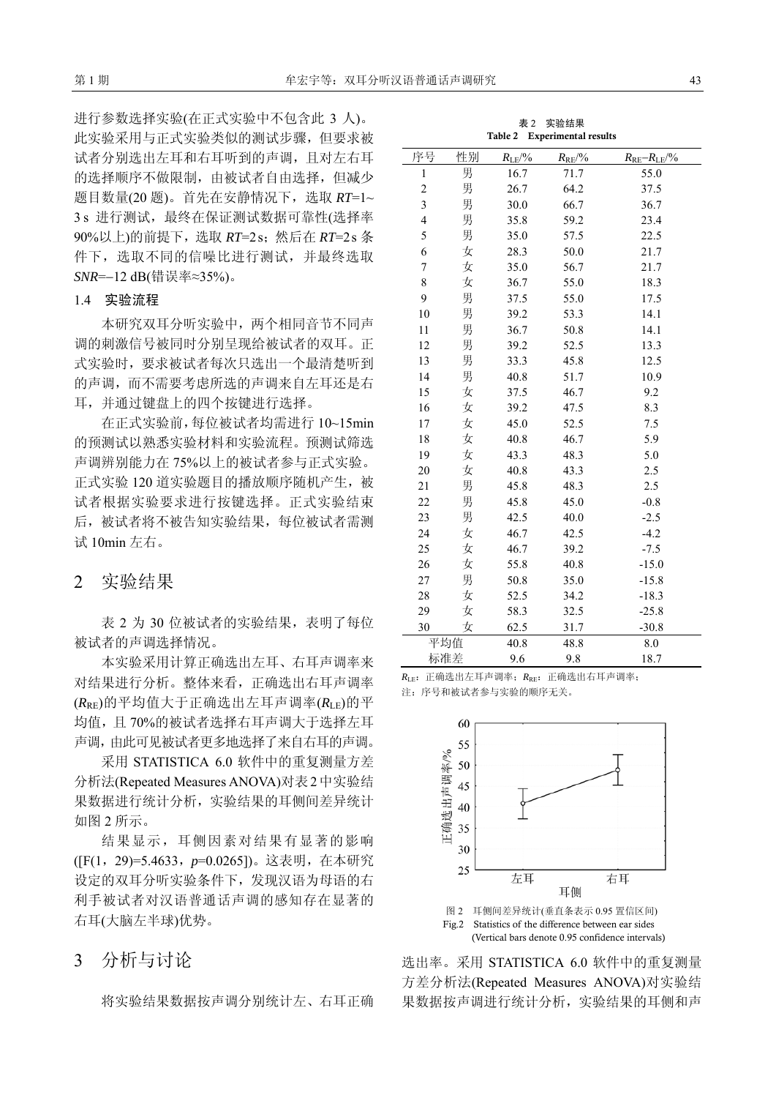进行参数选择实验(在正式实验中不包含此 3 人)。 此实验采用与正式实验类似的测试步骤,但要求被 试者分别选出左耳和右耳听到的声调,且对左右耳 的选择顺序不做限制,由被试者自由选择,但减少 题目数量(20 题)。首先在安静情况下,选取 *RT*=1~ 3s 进行测试, 最终在保证测试数据可靠性(选择率 90%以上)的前提下,选取 *RT*=2 s;然后在 *RT*=2 s 条 件下,选取不同的信噪比进行测试,并最终选取 *SNR*=−12 dB(错误率≈35%)。

1.4 实验流程

本研究双耳分听实验中,两个相同音节不同声 调的刺激信号被同时分别呈现给被试者的双耳。正 式实验时,要求被试者每次只选出一个最清楚听到 的声调,而不需要考虑所选的声调来自左耳还是右 耳,并通过键盘上的四个按键进行选择。

在正式实验前,每位被试者均需进行 10~15min 的预测试以熟悉实验材料和实验流程。预测试筛选 声调辨别能力在 75%以上的被试者参与正式实验。 正式实验 120 道实验题目的播放顺序随机产生,被 试者根据实验要求进行按键选择。正式实验结束 后,被试者将不被告知实验结果,每位被试者需测 试 10min 左右。

## 2 实验结果

表 2 为 30 位被试者的实验结果,表明了每位 被试者的声调选择情况。

本实验采用计算正确选出左耳、右耳声调率来 对结果进行分析。整体来看,正确选出右耳声调率 (*R*RE)的平均值大于正确选出左耳声调率(*R*LE)的平 均值,且 70%的被试者选择右耳声调大于选择左耳 声调,由此可见被试者更多地选择了来自右耳的声调。

采用 STATISTICA 6.0 软件中的重复测量方差 分析法(Repeated Measures ANOVA)对表2中实验结 果数据进行统计分析,实验结果的耳侧间差异统计 如图 2 所示。

结果显示,耳侧因素对结果有显著的影响 ([F(1,29)=5.4633,*p*=0.0265])。这表明,在本研究 设定的双耳分听实验条件下,发现汉语为母语的右 利手被试者对汉语普通话声调的感知存在显著的 右耳(大脑左半球)优势。

# 3 分析与讨论

将实验结果数据按声调分别统计左、右耳正确

表 2 实验结果 Table 2 Experimental results

| 序号                      | 性别  | $R_{\rm LE}/\%$ | $R_{\rm{RE}}$ /% | $R_{\text{RE}}-R_{\text{LE}}/2/6$ |
|-------------------------|-----|-----------------|------------------|-----------------------------------|
| $\mathbf{1}$            | 男   | 16.7            | 71.7             | 55.0                              |
| $\overline{\mathbf{c}}$ | 男   | 26.7            | 64.2             | 37.5                              |
| 3                       | 男   | 30.0            | 66.7             | 36.7                              |
| $\overline{4}$          | 男   | 35.8            | 59.2             | 23.4                              |
| 5                       | 男   | 35.0            | 57.5             | 22.5                              |
| 6                       | 女   | 28.3            | 50.0             | 21.7                              |
| $\overline{7}$          | 女   | 35.0            | 56.7             | 21.7                              |
| 8                       | 女   | 36.7            | 55.0             | 18.3                              |
| 9                       | 男   | 37.5            | 55.0             | 17.5                              |
| 10                      | 男   | 39.2            | 53.3             | 14.1                              |
| 11                      | 男   | 36.7            | 50.8             | 14.1                              |
| 12                      | 男   | 39.2            | 52.5             | 13.3                              |
| 13                      | 男   | 33.3            | 45.8             | 12.5                              |
| 14                      | 男   | 40.8            | 51.7             | 10.9                              |
| 15                      | 女   | 37.5            | 46.7             | 9.2                               |
| 16                      | 女   | 39.2            | 47.5             | 8.3                               |
| 17                      | 女   | 45.0            | 52.5             | 7.5                               |
| 18                      | 女   | 40.8            | 46.7             | 5.9                               |
| 19                      | 女   | 43.3            | 48.3             | 5.0                               |
| 20                      | 女   | 40.8            | 43.3             | 2.5                               |
| 21                      | 男   | 45.8            | 48.3             | 2.5                               |
| 22                      | 男   | 45.8            | 45.0             | $-0.8$                            |
| 23                      | 男   | 42.5            | 40.0             | $-2.5$                            |
| 24                      | 女   | 46.7            | 42.5             | $-4.2$                            |
| 25                      | 女   | 46.7            | 39.2             | $-7.5$                            |
| 26                      | 女   | 55.8            | 40.8             | $-15.0$                           |
| 27                      | 男   | 50.8            | 35.0             | $-15.8$                           |
| 28                      | 女   | 52.5            | 34.2             | $-18.3$                           |
| 29                      | 女   | 58.3            | 32.5             | $-25.8$                           |
| 30                      | 女   | 62.5            | 31.7             | $-30.8$                           |
|                         | 平均值 | 40.8            | 48.8             | 8.0                               |
|                         | 标准差 | 9.6             | 9.8              | 18.7                              |

*R*LE:正确选出左耳声调率;*R*RE:正确选出右耳声调率; 注:序号和被试者参与实验的顺序无关。



Fig.2 Statistics of the difference between ear sides (Vertical bars denote 0.95 confidence intervals)

选出率。采用 STATISTICA 6.0 软件中的重复测量 方差分析法(Repeated Measures ANOVA)对实验结 果数据按声调进行统计分析,实验结果的耳侧和声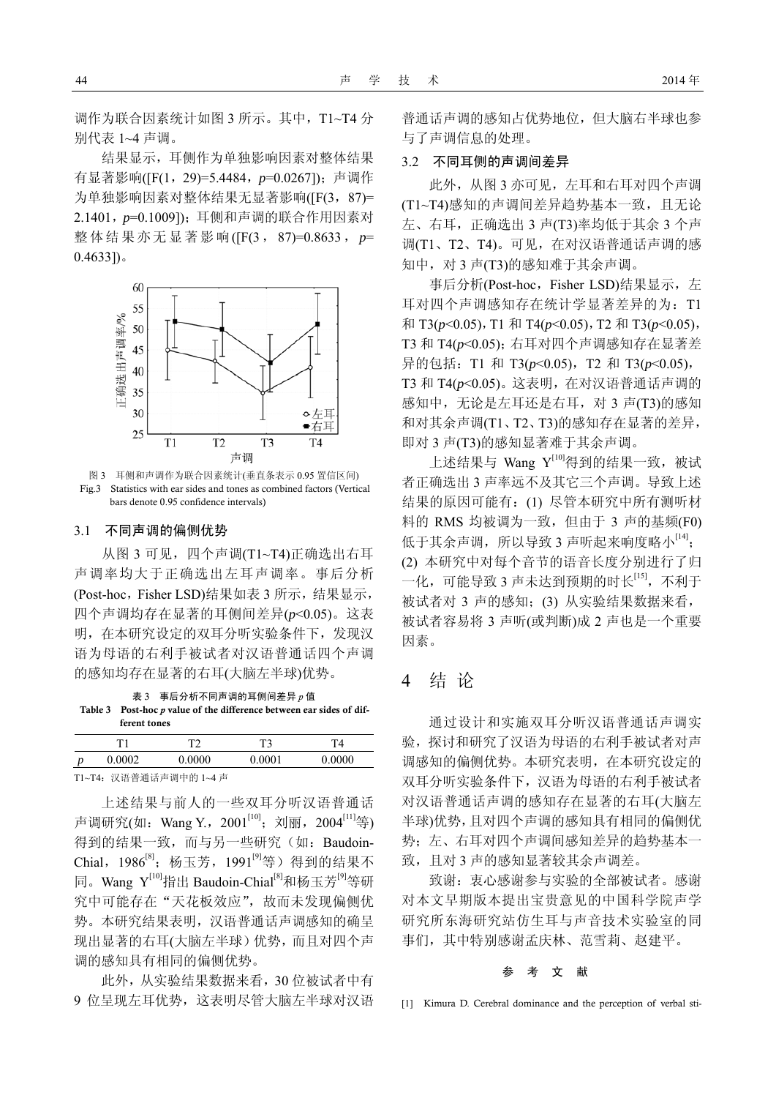调作为联合因素统计如图 3 所示。其中,T1~T4 分 别代表 1~4 声调。

结果显示,耳侧作为单独影响因素对整体结果 有显著影响([F(1,29)=5.4484,*p*=0.0267]);声调作 为单独影响因素对整体结果无显著影响(JF(3,87)= 2.1401,*p*=0.1009]);耳侧和声调的联合作用因素对 整体结果亦无显著影响([F(3,87)=0.8633,*p*= 0.4633])。



图 3 耳侧和声调作为联合因素统计(垂直条表示 0.95 置信区间) Fig.3 Statistics with ear sides and tones as combined factors (Vertical bars denote 0.95 confidence intervals)

#### 3.1 不同声调的偏侧优势

从图 3 可见, 四个声调(T1~T4)正确选出右耳 声调率均大于正确选出左耳声调率。事后分析 (Post-hoc, Fisher LSD)结果如表 3 所示, 结果显示, 四个声调均存在显著的耳侧间差异(*p*<0.05)。这表 明,在本研究设定的双耳分听实验条件下,发现汉 语为母语的右利手被试者对汉语普通话四个声调 的感知均存在显著的右耳(大脑左半球)优势。

|    | 表 3 事后分析不同声调的耳侧间差异 p 值<br>Table 3 Post-hoc p value of the difference between ear sides of dif-<br>ferent tones |    |    |  |  |
|----|----------------------------------------------------------------------------------------------------------------|----|----|--|--|
| T1 | T?                                                                                                             | т٦ | T4 |  |  |
|    |                                                                                                                |    |    |  |  |

| 0.0002 | 0.0000                 | 0.0001 | 0.0000 |
|--------|------------------------|--------|--------|
|        | T1~T4: 汉语普通话声调中的 1~4 声 |        |        |

上述结果与前人的一些双耳分听汉语普通话 声调研究(如: Wang Y., 2001<sup>[10]</sup>; 刘丽, 2004<sup>[11]</sup>等) 得到的结果一致,而与另一些研究(如: Baudoin-Chial, 1986<sup>[8]</sup>; 杨玉芳, 1991<sup>[9]</sup>等) 得到的结果不 同。Wang Y<sup>[10]</sup>指出 Baudoin-Chial<sup>[8]</sup>和杨玉芳<sup>[9]</sup>等研 究中可能存在"天花板效应",故而未发现偏侧优 势。本研究结果表明,汉语普通话声调感知的确呈 现出显著的右耳(大脑左半球)优势,而且对四个声 调的感知具有相同的偏侧优势。

此外,从实验结果数据来看,30 位被试者中有 9 位呈现左耳优势,这表明尽管大脑左半球对汉语 普通话声调的感知占优势地位,但大脑右半球也参 与了声调信息的处理。

### 3.2 不同耳侧的声调间差异

此外,从图 3 亦可见,左耳和右耳对四个声调 (T1~T4)感知的声调间差异趋势基本一致,且无论 左、右耳,正确选出 3 声(T3)率均低于其余 3 个声 调(T1、T2、T4)。可见,在对汉语普通话声调的感 知中,对 3 声(T3)的感知难于其余声调。

事后分析(Post-hoc, Fisher LSD)结果显示, 左 耳对四个声调感知存在统计学显著差异的为:T1 和 T3(*p*<0.05), T1 和 T4(*p*<0.05), T2 和 T3(*p*<0.05), T3 和 T4(*p*<0.05);右耳对四个声调感知存在显著差 异的包括:T1 和 T3(*p*<0.05),T2 和 T3(*p*<0.05), T3 和 T4(*p*<0.05)。这表明,在对汉语普通话声调的 感知中,无论是左耳还是右耳,对 3 声(T3)的感知 和对其余声调(T1、T2、T3)的感知存在显著的差异, 即对 3 声(T3)的感知显著难于其余声调。

上述结果与 Wang Y<sup>[10]</sup>得到的结果一致, 被试 者正确选出 3 声率远不及其它三个声调。导致上述 结果的原因可能有:(1) 尽管本研究中所有测听材 料的 RMS 均被调为一致, 但由于 3 声的基频(F0) 低于其余声调,所以导致 3 声听起来响度略小[14]; (2) 本研究中对每个音节的语音长度分别进行了归 一化,可能导致 3 声未达到预期的时长[15],不利于 被试者对 3 声的感知;(3) 从实验结果数据来看, 被试者容易将 3 声听(或判断)成 2 声也是一个重要 因素。

# 4 结 论

通过设计和实施双耳分听汉语普通话声调实 验,探讨和研究了汉语为母语的右利手被试者对声 调感知的偏侧优势。本研究表明,在本研究设定的 双耳分听实验条件下,汉语为母语的右利手被试者 对汉语普通话声调的感知存在显著的右耳(大脑左 半球)优势,且对四个声调的感知具有相同的偏侧优 势;左、右耳对四个声调间感知差异的趋势基本一 致,且对 3 声的感知显著较其余声调差。

致谢: 衷心感谢参与实验的全部被试者。感谢 对本文早期版本提出宝贵意见的中国科学院声学 研究所东海研究站仿生耳与声音技术实验室的同 事们,其中特别感谢孟庆林、范雪莉、赵建平。

#### 文献

[1] Kimura D. Cerebral dominance and the perception of verbal sti-